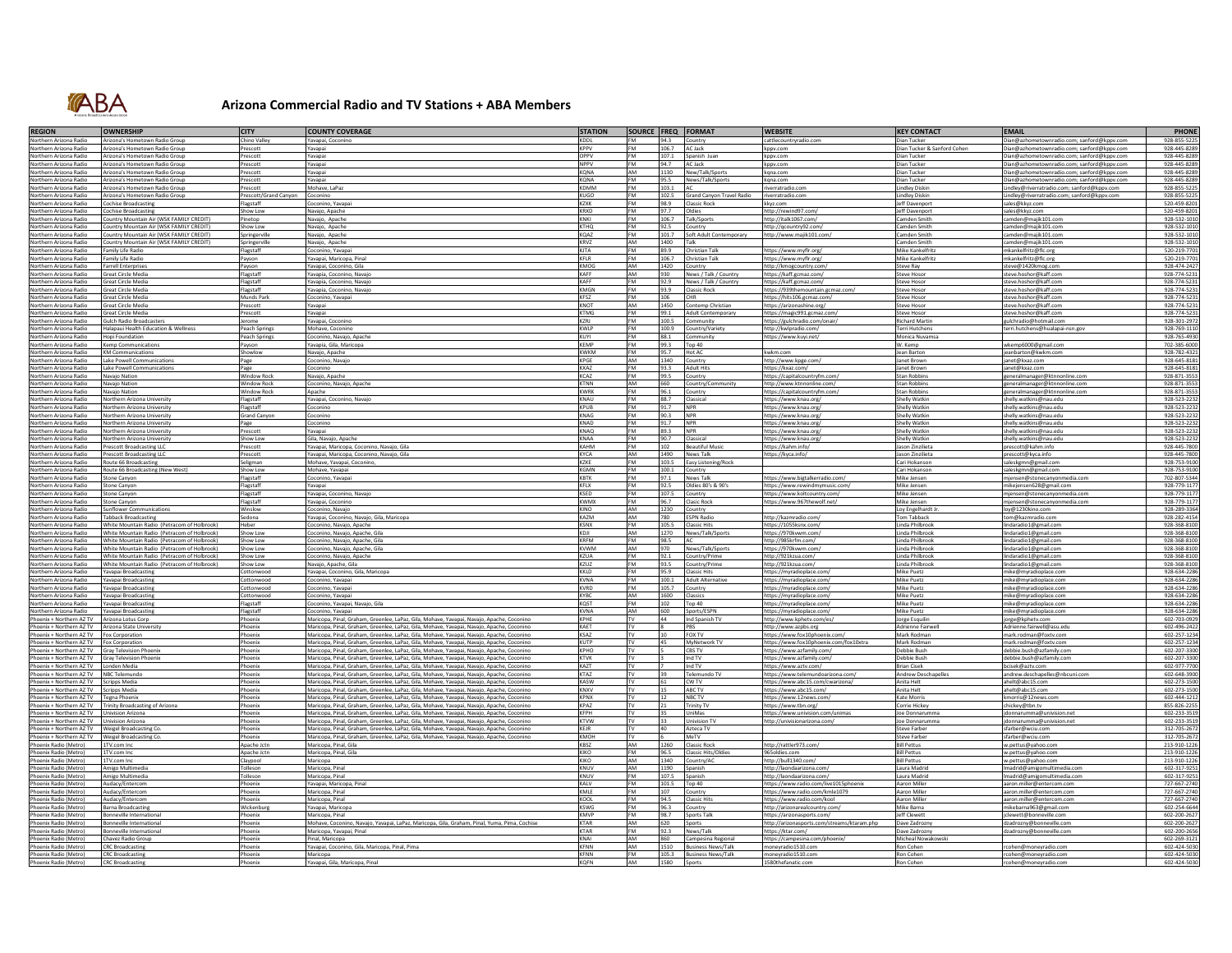

## **Arizona Commercial Radio and TV Stations + ABA Members**

| <b>REGION</b>                                                                                                                            | <b>OWNERSHIP</b>                                                 | <b>CITY</b>             | <b>COUNTY COVERAGE</b>                                                                                                                                                                 | <b>STATION</b>      | SOURCE FREQ FORMAT                     |                                                       | <b>WEBSITE</b>                                                        | <b>KEY CONTACT</b>                     | <b>EMAIL</b>                                                                             | PHONE                        |
|------------------------------------------------------------------------------------------------------------------------------------------|------------------------------------------------------------------|-------------------------|----------------------------------------------------------------------------------------------------------------------------------------------------------------------------------------|---------------------|----------------------------------------|-------------------------------------------------------|-----------------------------------------------------------------------|----------------------------------------|------------------------------------------------------------------------------------------|------------------------------|
| Northern Arizona Radio                                                                                                                   | Arizona's Hometown Radio Group                                   | hino Valley             | Yavapai, Coconin                                                                                                                                                                       | KDDL                | <b>FM</b><br>94.3                      | Country                                               | cattlecountryradio.com                                                | Dian Tucker                            | Dian@azhometownradio.com; sanford@kppv.com                                               | 928-855-5225                 |
| Northern Arizona Radio                                                                                                                   | Arizona's Hometown Radio Group                                   | Prescott                | Yavapai                                                                                                                                                                                | KPPV                | <b>FM</b>                              | 106.7 AC Jack                                         | kppv.com                                                              | Dian Tucker & Sanford Cohen            | Dian@azhometownradio.com; sanford@kppv.con                                               | 928-445-8289                 |
| Northern Arizona Radio                                                                                                                   | Arizona's Hometown Radio Group                                   | Prescott                | Yavapai                                                                                                                                                                                | OPPV                | <b>FM</b><br><b>FM</b>                 | 107.1 Spanish Juan                                    | kppv.com                                                              | Dian Tucker                            | Dian@azhometownradio.com; sanford@kppv.com                                               | 928-445-8289                 |
| Northern Arizona Radio                                                                                                                   | Arizona's Hometown Radio Group                                   | Prescott                | Yavapai                                                                                                                                                                                | <b>NPPV</b>         | 94.7 AC lack<br>AM                     |                                                       | kppv.com                                                              | Dian Tucker                            | Dian@azhometownradio.com; sanford@kppv.com                                               | 928-445-8289                 |
| Northern Arizona Radio<br>Northern Arizona Radio                                                                                         | Arizona's Hometown Radio Group<br>Arizona's Hometown Radio Group | Prescott<br>Prescott    | Yavapai<br>Yavapai                                                                                                                                                                     | KQNA<br>KQNA        | FM<br>95.5                             | 1130 New/Talk/Sports<br>News/Talk/Sports              | kqna.com<br>kqna.com                                                  | Dian Tucker<br>Dian Tucker             | Dian@azhometownradio.com; sanford@kppv.com<br>Dian@azhometownradio.com; sanford@kppv.com | 928-445-8289<br>928-445-828  |
| Northern Arizona Radio                                                                                                                   | Arizona's Hometown Radio Group                                   | Prescott                | Mohave, LaPaz                                                                                                                                                                          | KDMM                | FM<br>103.1                            | <b>AC</b>                                             | iverratradio.con                                                      | <b>Lindley Diskin</b>                  | Lindley@riverratradio.com; sanford@kppv.com                                              | 928-855-5225                 |
| Northern Arizona Radio                                                                                                                   | Arizona's Hometown Radio Group                                   | Prescott/Grand Canvon   | Coconino                                                                                                                                                                               | KUGO                | <b>FM</b>                              | 102.5 Grand Canvon Travel Radio                       | iverratradio.com                                                      | Lindley Diskin                         | Lindley@riverratradio.com; sanford@kppv.com                                              | 928-855-5225                 |
| Northern Arizona Radio                                                                                                                   | <b>Cochise Broadcasting</b>                                      | Flagstaff               | Coconino, Yavapa                                                                                                                                                                       | <b>KZXK</b>         | <b>FM</b>                              | 98.9 Classic Rock                                     | kkvz.com                                                              | Jeff Davenport                         | sales@kkvz.com                                                                           | 520-459-820                  |
| Northern Arizona Radio                                                                                                                   | Cochise Broadcasting                                             | how Low                 | Navajo, Apache                                                                                                                                                                         | KRXD                | <b>FM</b><br>97.7                      | Oldies                                                | http://rewind97.com/                                                  | Jeff Davenport                         | sales@kkyz.com                                                                           | 520-459-820                  |
| Northern Arizona Radio                                                                                                                   | Country Mountain Air (WSK FAMILY CREDIT)                         | Pinetop                 | Navajo, Apache                                                                                                                                                                         | KNKI                | <b>FM</b>                              | 106.7 Talk/Sports                                     | http://italk1067.com/                                                 | <b>Camden Smith</b>                    | camden@majik101.cor                                                                      | 928-532-1010                 |
| Northern Arizona Radio                                                                                                                   | Country Mountain Air (WSK FAMILY CREDIT)                         | Show Low                | Navajo, Apache                                                                                                                                                                         | KTHQ                | <b>FM</b><br>92.5                      | Country                                               | http://qcountry92.com/                                                | Camden Smith                           | camden@majik101.com                                                                      | 928-532-1010                 |
| Northern Arizona Radio                                                                                                                   | Country Mountain Air (WSK FAMILY CREDIT                          | pringerville            | Navajo, Apache                                                                                                                                                                         | KQAZ                | FM<br>101.7                            | Soft Adult Contemporary                               | http://www.majik101.com                                               | amden Smith                            | :amden@majik101.cor                                                                      | 928-532-1010                 |
| Northern Arizona Radio<br>Northern Arizona Radio                                                                                         | Country Mountain Air (WSK FAMILY CREDIT)<br>Family Life Radio    | ipringerville           | Navajo, Apache                                                                                                                                                                         | <b>KRVZ</b><br>KITA | AM<br>1400<br><b>FM</b><br>89.9        | Talk<br>Christian Talk                                |                                                                       | Camden Smith<br>Mike Kankelfritz       | camden@majik101.com<br>mkankelfritz@flc.org                                              | 928-532-1010<br>520-219-7701 |
| Northern Arizona Radio                                                                                                                   | Family Life Radio                                                | lagstaff<br>Payson      | Coconino, Yavapai<br>Yavapai, Maricopa, Pinal                                                                                                                                          | <b>KFIR</b>         | <b>FM</b><br>106.7                     | Christian Talk                                        | https://www.myfir.org/<br>https://www.myflr.org/                      | Mike Kankelfritz                       | mkankelfritz@flc.org                                                                     | 520-219-7701                 |
| Northern Arizona Radio                                                                                                                   | <b>Farrell Enterprises</b>                                       | Payson                  | Yavapai, Coconino, Gila                                                                                                                                                                | KMOG                | AM<br>1420                             | Country                                               | http://kmogcountry.com/                                               | <b>Steve Ray</b>                       | steve@1420kmog.com                                                                       | 928-474-2427                 |
| Northern Arizona Radio                                                                                                                   | Great Circle Media                                               | Flagstaff               | Yavapia, Coconino, Navajo                                                                                                                                                              | KAFF                | AM<br>930                              | News / Talk / Country                                 | https://kaff.gcmaz.com/                                               | Steve Hosor                            | steve.hoshor@kaff.com                                                                    | 928-774-5231                 |
| Northern Arizona Radio                                                                                                                   | <b>Great Circle Media</b>                                        | Flagstaff               | Yavapia, Coconino, Navajo                                                                                                                                                              | KAFF                | FM<br>92.9                             | News / Talk / Country                                 | https://kaff.gcmaz.com/                                               | <b>Steve Hoson</b>                     | steve.hoshor@kaff.com                                                                    | 928-774-5231                 |
| Northern Arizona Radio                                                                                                                   | Great Circle Media                                               | Flagstaff               | Yavapia, Coconino, Navaio                                                                                                                                                              | KMGN                | <b>FM</b><br>93.9                      | <b>Classic Rock</b>                                   | https://939themountain.gcmaz.com/                                     | <b>Steve Hosor</b>                     | steve.hoshor@kaff.com                                                                    | 928-774-5231                 |
| Northern Arizona Radio                                                                                                                   | Great Circle Media                                               | Munds Park              | Coconino, Yavapa                                                                                                                                                                       | KFSZ                | <b>FM</b><br>106                       | <b>CHR</b>                                            | https://hits106.gcmaz.com/                                            | Steve Hosor                            | steve.hoshor@kaff.com                                                                    | 928-774-5231                 |
| Northern Arizona Radio                                                                                                                   | <b>Great Circle Media</b>                                        | Prescott                | Yavapai                                                                                                                                                                                | KNOT                | AM<br>1450                             | Contemp Christian                                     | nttps://arizonashine.org/                                             | Steve Hosor                            | steve.hoshor@kaff.com                                                                    | 928-774-523                  |
| Northern Arizona Radio                                                                                                                   | Great Circle Media                                               | Prescott                | Yavapai                                                                                                                                                                                | KTMG                | FM<br>99.1                             | <b>Adult Contemporary</b>                             | https://magic991.gcmaz.com                                            | <b>Steve Hosor</b>                     | steve.hoshor@kaff.com                                                                    | 928-774-5231                 |
| Northern Arizona Radio                                                                                                                   | <b>Gulch Radio Broadcasters</b>                                  | lerome                  | Yavapai, Coconin                                                                                                                                                                       | KZRJ                | FM<br>100.5                            | Community                                             | https://gulchradio.com/onair                                          | <b>Richard Martin</b>                  | gulchradio@hotmail.com                                                                   | 928-301-2972                 |
| Northern Arizona Radio                                                                                                                   | Halapaui Health Education & Wellness                             | Peach Springs           | Mohave, Coconino                                                                                                                                                                       | KWLP<br>KUYL        | FM<br><b>FM</b><br>88.1                | 100.9 Country/Variety<br>Community                    | http://kwlpradio.com/                                                 | Terri Hutchens<br>Monica Nuvamsa       | erri.hutchens@hualapai-nsn.gov                                                           | 928-769-1110<br>928-765-4930 |
| Northern Arizona Radio<br>Northern Arizona Radio                                                                                         | Hopi Foundation<br><b>Kemp Communications</b>                    | Peach Springs<br>Payson | Coconino, Navajo, Apache<br>Yavapia, Gila, Maricopa                                                                                                                                    | KFMP                | <b>FM</b>                              | 99.3 Top 40                                           | https://www.kuyi.net/                                                 | W. Kemp                                | wkemp6000@gmail.com                                                                      | 702-385-6000                 |
| Northern Arizona Radio                                                                                                                   | <b>KM Communications</b>                                         | Showlow                 | Navajo, Apache                                                                                                                                                                         | KWKM                | FM<br>95.7                             | Hot AC                                                | kwkm.com                                                              | Jean Barton                            | jeanbarton@kwkm.cor                                                                      | 928-782-432                  |
| Northern Arizona Radio                                                                                                                   | Lake Powell Communications                                       | Page                    | Coconino, Navajo                                                                                                                                                                       | KPGE                | AM<br>1340                             | Country                                               | http://www.kpge.com/                                                  | Janet Brown                            | janet@kxaz.com                                                                           | 928-645-818                  |
| Northern Arizona Radio                                                                                                                   | Lake Powell Communications                                       | Page                    | Coconino                                                                                                                                                                               | KXAZ                | <b>FM</b><br>93.3                      | <b>Adult Hits</b>                                     | https://kxaz.com/                                                     | Janet Brown                            | ianet@kxaz.com                                                                           | 928-645-8181                 |
| Northern Arizona Radio                                                                                                                   | Navaio Nation                                                    | <b>Window Rock</b>      | Navajo, Apache                                                                                                                                                                         | KCAZ                | <b>FM</b><br>99.5                      | Country                                               | https://capitalcountryfm.com/                                         | <b>Stan Robbins</b>                    | generalmanager@ktnnonline.com                                                            | 928-871-3553                 |
| Northern Arizona Radio                                                                                                                   | Navajo Nation                                                    | Window Rock             | Coconino, Navajo, Apache                                                                                                                                                               | KTNN                | AM<br>660                              | Country/Community                                     | http://www.ktnnonline.com/                                            | <b>Stan Robbins</b>                    | generalmanager@ktnnonline.com                                                            | 928-871-3553                 |
| Northern Arizona Radio                                                                                                                   | Navajo Nation                                                    | <b>Window Rock</b>      | Apache                                                                                                                                                                                 | <b>KWRK</b>         | <b>FM</b><br>96.1                      | Country                                               | https://capitalcountryfm.com/                                         | <b>Stan Robbins</b>                    | generalmanager@ktnnonline.con                                                            | 928-871-3553                 |
| Northern Arizona Radio                                                                                                                   | Northern Arizona University                                      | Flagstaff               | Yavapai, Coconino, Navajo                                                                                                                                                              | KNAU                | <b>FM</b><br>88.7                      | Classical                                             | ttps://www.knau.org/                                                  | Shelly Watkin                          | shelly.watkins@nau.edu                                                                   | 928-523-2232                 |
| Northern Arizona Radio                                                                                                                   | Northern Arizona University                                      | lagstaff                | Coconino                                                                                                                                                                               | KPUB                | FM<br>91.7                             | <b>NPR</b>                                            | https://www.knau.org                                                  | Shelly Watkin                          | shelly.watkins@nau.edu                                                                   | 928-523-2232                 |
| Northern Arizona Radio                                                                                                                   | Northern Arizona University                                      | Grand Canyon            | Coconino                                                                                                                                                                               | KNAG                | FM<br>90.3                             | <b>NPR</b>                                            | https://www.knau.org/                                                 | Shelly Watkin                          | shelly.watkins@nau.edu                                                                   | 928-523-2232                 |
| Northern Arizona Radio                                                                                                                   | Northern Arizona University<br>Northern Arizona University       | Page<br>Prescott        | Coconino<br>Yavapai                                                                                                                                                                    | KNAD<br>KNAO        | <b>FM</b><br>91.7<br><b>FM</b><br>89.3 | <b>NPR</b><br>N <sub>PR</sub>                         | https://www.knau.org/                                                 | Shelly Watkin<br>Shelly Watkin         | shelly.watkins@nau.edu<br>shelly.watkins@nau.edu                                         | 928-523-2232<br>928-523-2232 |
| Northern Arizona Radio                                                                                                                   | Northern Arizona University                                      | Show Low                | Gila, Navajo, Apache                                                                                                                                                                   | KNAA                | FM<br>90.7                             | Classical                                             | https://www.knau.org/<br>https://www.knau.org/                        | Shelly Watkin                          | shelly.watkins@nau.edu                                                                   | 928-523-2232                 |
| Northern Arizona Radio<br>Northern Arizona Radio                                                                                         | <b>Prescott Broadcasting LLC</b>                                 | Prescott                | Yavapai, Maricopa, Coconino, Navajo, Gila                                                                                                                                              | KAHM                | FM<br>102                              | <b>Beautiful Music</b>                                | https://kahm.info/                                                    | Jason Zinzilieta                       | prescott@kahm.info                                                                       | 928-445-7800                 |
|                                                                                                                                          | <b>Prescott Broadcasting LLC</b>                                 | Prescott                | Yavapai, Maricopa, Coconino, Navajo, Gila                                                                                                                                              | KYCA                | AM<br>1490                             | News Talk                                             | https://kyca.info/                                                    | Jason Zinzilieta                       | prescott@kyca.info                                                                       | 928-445-7800                 |
| Northern Arizona Radio<br>Northern Arizona Radio<br>Northern Arizona Radio                                                               | Route 66 Broadcasting                                            | Seligman                | Mohave, Yavapai, Coconino                                                                                                                                                              | KZKE                | <b>FM</b>                              | 103.5 Easy Listening/Rock                             |                                                                       | Cari Hokanson                          | saleskgmn@gmail.com                                                                      | 928-753-9100                 |
|                                                                                                                                          | Route 66 Broadcasting (New West)                                 | Show Low                | Mohave, Yavapai                                                                                                                                                                        | KGMN                | <b>FM</b>                              | 100.1 Country                                         |                                                                       | Cari Hokanson                          | saleskgmn@gmail.com                                                                      | 928-753-9100                 |
| Northern Arizona Radio                                                                                                                   | Stone Canyor                                                     | Flagstaff               | Coconino, Yavapa                                                                                                                                                                       | KBTK                | FM.<br>97.1                            | News Talk                                             | https://www.bigtalkerradio.com/                                       | Mike Jensen                            | mjensen@stonecanyonmedia.com                                                             | 702-807-5344                 |
| Northern Arizona Radio                                                                                                                   | Stone Canyor                                                     | Flagstaff               | Yavapai                                                                                                                                                                                | KFLX                | <b>FM</b><br>92.5                      | Oldies 80's & 90's                                    | ttps://www.rewindmymusic.com/                                         | Mike Jenser                            | mikejensen628@gmail.com                                                                  | 928-779-1177                 |
| Northern Arizona Radio                                                                                                                   | Stone Canyor                                                     | Flagstaff               | Yavapai, Coconino, Navajo                                                                                                                                                              | KSED                | FM<br>107.5                            | Country                                               | https://www.koltcountry.com/                                          | Mike Jensen                            | mjensen@stonecanyonmedia.com                                                             | 928-779-1177                 |
| Northern Arizona Radio                                                                                                                   | Stone Canyor                                                     | Flagstaff               | Yavapai, Coconini                                                                                                                                                                      | KWMX                | FM<br>96.7<br><b>AM</b>                | <b>Clasic Rock</b>                                    | https://www.967thewolf.net/                                           | Mike Jensen                            | mjensen@stonecanyonmedia.com                                                             | 928-779-1177                 |
| Northern Arizona Radio<br>Northern Arizona Radio                                                                                         | Sunflower Communication<br><b>Tabback Broadcasting</b>           | Winslow<br>edona        | Coconino, Navajo<br>Yavapai, Coconino, Navajo, Gila, Maricopa                                                                                                                          | KINO<br>KAZM        | 1230<br>AM                             | Country<br>780 ESPN Radio                             | http://kazmradio.com/                                                 | Loy Engelhardt J<br><b>Tom Tabback</b> | loy@1230kino.com<br>tom@kazmradio.com                                                    | 928-289-3364<br>928-282-4154 |
| Northern Arizona Radio                                                                                                                   | White Mountain Radio (Petracom of Holbrook                       | Heber                   | Coconino, Navajo, Apache                                                                                                                                                               | KSNX                | FM<br>105.5                            | <b>Classic Hits</b>                                   | https://1055ksnx.com/                                                 | inda Philbrook                         | lindaradio1@gmail.com                                                                    | 928-368-810                  |
| Northern Arizona Radio                                                                                                                   | White Mountain Radio (Petracom of Holbrook                       | Show Low                | Coconino, Navajo, Apache, Gila                                                                                                                                                         | <b>ILO</b>          | AM                                     | 1270 News/Talk/Sports                                 | https://970kvwm.com/                                                  | Linda Philbrook                        | lindaradio1@gmail.com                                                                    | 928-368-8100                 |
| Northern Arizona Radio                                                                                                                   | White Mountain Radio (Petracom of Holbrook                       | Show Low                | Coconino, Navajo, Apache, Gila                                                                                                                                                         | KRFM                | FM<br>98.5                             |                                                       | http://985krfm.com/                                                   | inda Philbrook                         | indaradio1@gmail.com                                                                     | 928-368-8100                 |
| Northern Arizona Radio<br>Northern Arizona Radio                                                                                         | White Mountain Radio (Petracom of Holbrook)                      | Show Low                | Coconino, Navajo, Apache, Gila                                                                                                                                                         | <b>KVWM</b>         | AM<br>970                              | News/Talk/Sports                                      | https://970kvwm.com/                                                  | Linda Philbrook                        | lindaradio1@gmail.com                                                                    | 928-368-8100                 |
|                                                                                                                                          | White Mountain Radio (Petracom of Holbrook)                      | how Low                 | Coconino, Navajo, Apache                                                                                                                                                               | KZUA                | <b>FM</b><br>92.1                      | Country/Prime                                         | http://921kzua.com/                                                   | Linda Philbrook                        | indaradio1@gmail.com                                                                     | 928-368-8100                 |
| Northern Arizona Radio                                                                                                                   | White Mountain Radio (Petracom of Holbrook)                      | Show Low                | Navajo, Apache, Gila                                                                                                                                                                   | KZUZ                | <b>FM</b><br>93.5                      | Country/Prime                                         | http://921kzua.com/                                                   | Linda Philbrool                        | lindaradio1@gmail.com                                                                    | 928-368-8100                 |
| Northern Arizona Radio                                                                                                                   | Yavapai Broadcasting                                             | ottonwood               | Yavapai, Coconino, Gila, Maricopa                                                                                                                                                      | KKLD                | FM<br>95.9                             | <b>Classic Hits</b>                                   | https://myradioplace.com                                              | Mike Puetz                             | mike@myradioplace.com                                                                    | 928-634-2286                 |
| Northern Arizona Radio                                                                                                                   | Yavapai Broadcasting                                             | cttonwood               | Coconino, Yavapa                                                                                                                                                                       | KVNA                | <b>FM</b><br>100.1                     | <b>Adult Alternative</b>                              | https://myradioplace.com,                                             | Mike Puetz                             | mike@mvradioplace.com                                                                    | 928-634-2286                 |
| Northern Arizona Radio                                                                                                                   | Yavapai Broadcasting                                             | Cottonwood              | Coconino, Yavapai                                                                                                                                                                      | KVRD                | FM<br>105.7 Country<br>AM              |                                                       | https://myradioplace.com,                                             | Mike Puetz<br>Mike Puetz               | mike@myradioplace.com                                                                    | 928-634-2286<br>928-634-2286 |
| Northern Arizona Radio                                                                                                                   | Yavapai Broadcasting<br>Yavapai Broadcasting                     | cttonwood<br>lagstaff   | Coconino, Yavapa<br>Coconino, Yavapai, Navajo, Gila                                                                                                                                    | KYBC<br>KOST        | <b>FM</b><br>102                       | 1600 Classics<br>Top 40                               | https://myradioplace.com/<br>https://myradioplace.com,                | <b>Mike Puetz</b>                      | mike@myradioplace.com<br>mike@myradioplace.com                                           | 928-634-2286                 |
| Northern Arizona Radio<br>Northern Arizona Radio                                                                                         | Yavapai Broadcasting                                             | Flagstaff               | Coconino, Yavapai                                                                                                                                                                      | <b>KVNA</b>         | AM<br>600                              | Sports/ESPN                                           | https://myradioplace.com/                                             | Mike Puetz                             | mike@myradioplace.com                                                                    | 928-634-2286                 |
| Phoenix + Northern AZ TV                                                                                                                 | Arizona Lotus Corp                                               | Phoenix                 | Maricopa, Pinal, Graham, Greenlee, LaPaz, Gila, Mohave, Yavapai, Navajo, Apache, Coconino                                                                                              | KPHE                | TV<br>44                               | Ind Spanish TV                                        | http://www.kphetv.com/es                                              | Jorge Esquilin                         | jorge@kphetv.com                                                                         | 602-703-092                  |
| Phoenix + Northern AZ TV Arizona State University                                                                                        |                                                                  | Phoenix                 | Maricopa, Pinal, Graham, Greenlee, LaPaz, Gila, Mohave, Yavapai, Navajo, Apache, Coconino                                                                                              | KAET                | TV                                     | PBS                                                   | http://www.azpbs.org                                                  | Adrienne Fairwe                        | Adrienne.fairwell@asu.edu                                                                | 602-496-2422                 |
| Phoenix + Northern AZ TV Fox Corporation<br>Phoenix + Northern AZ TV Fox Corporation<br>Phoenix + Northern AZ TV Gray Television Phoenix |                                                                  | Phoenix                 | Maricopa, Pinal, Graham, Greenlee, LaPaz, Gila, Mohave, Yavapai, Navajo, Apache, Coconino                                                                                              | <b>KSAZ</b>         | TV                                     | <b>FOX TV</b>                                         | https://www.fox10phoenix.com/                                         | Mark Rodman                            | mark.rodman@foxtv.com                                                                    | 602-257-1234                 |
|                                                                                                                                          |                                                                  | Phoenix                 | Maricopa, Pinal, Graham, Greenlee, LaPaz, Gila, Mohave, Yavapai, Navajo, Apache, Coconino                                                                                              | KUTP                | TV                                     | MyNetwork TV                                          | https://www.fox10phoenix.com/fox10xtra                                | Mark Rodman                            | mark.rodman@foxtv.com                                                                    | 602-257-1234                 |
|                                                                                                                                          |                                                                  | Phoenix                 | Maricopa, Pinal, Graham, Greenlee, LaPaz, Gila, Mohave, Yavapai, Navajo, Apache, Coconino                                                                                              | KPHO                | TV                                     | CBS TV                                                | https://www.azfamily.com/                                             | Debbie Bush                            | debbie.bush@azfamily.com                                                                 | 602-207-3300                 |
| Phoenix + Northern AZ TV                                                                                                                 | Gray Television Phoenis                                          | Phoenix                 | Maricopa, Pinal, Graham, Greenlee, LaPaz, Gila, Mohave, Yavapai, Navajo, Apache, Coconino                                                                                              | KTVK                | TV                                     | Ind TV                                                | https://www.azfamily.com,                                             | Debbie Bush                            | debbie.bush@azfamily.com                                                                 | 602-207-3300                 |
| Phoenix + Northern AZ TV Londen Media                                                                                                    |                                                                  | Phoenix                 | Maricopa, Pinal, Graham, Greenlee, LaPaz, Gila, Mohave, Yavapai, Navajo, Apache, Coconino                                                                                              | KAZT                | TV<br>TV                               | Ind TV                                                | https://www.aztv.com/                                                 | <b>Brian Cisek</b>                     | bcisek@aztv.com                                                                          | 602-977-7700                 |
| Phoenix + Northern AZ TV<br>Phoenix + Northern AZ TV                                                                                     | <b>NBC Telemundo</b><br><b>Scripps Media</b>                     | Phoenix<br>Phoenix      | Maricopa, Pinal, Graham, Greenlee, LaPaz, Gila, Mohave, Yavapai, Navajo, Apache, Coconino<br>Maricopa, Pinal, Graham, Greenlee, LaPaz, Gila, Mohave, Yavapai, Navajo, Apache, Coconino | KTAZ<br>KASW        | TV<br>61                               | Telemundo TV<br>CW TV                                 | https://www.telemundoarizona.com,<br>https://www.abc15.com/cwarizona/ | Andrew Deschapelle:<br>Anita Helt      | andrew.deschapelles@nbcuni.com<br>ahelt@abc15.com                                        | 602-648-3900<br>602-273-1500 |
|                                                                                                                                          |                                                                  | Phoenix                 | Maricopa, Pinal, Graham, Greenlee, LaPaz, Gila, Mohave, Yavapai, Navajo, Apache, Coconino                                                                                              | KNXV                | TV                                     | ABC TV                                                | https://www.abc15.com/                                                | Anita Helt                             | ahelt@abc15.com                                                                          | 602-273-1500                 |
| Phoenix + Northern AZ TV<br>Phoenix + Northern AZ TV<br>Phoenix + Northern AZ TV<br>Tegna Phoenix                                        |                                                                  | Phoenix                 | Maricopa, Pinal, Graham, Greenlee, LaPaz, Gila, Mohave, Yavapai, Navajo, Apache, Coconino                                                                                              | <b>KPNX</b>         | TV<br>12                               | NBC TV                                                | https://www.12news.com/                                               | Kate Morris                            | kmorris@12news.com                                                                       | 602-444-1212                 |
|                                                                                                                                          | Phoenix + Northern AZ TV Trinity Broadcasting of Arizona         | Phoenix                 | Maricopa, Pinal, Graham, Greenlee, LaPaz, Gila, Mohave, Yavapai, Navajo, Apache, Coconino                                                                                              | KPAZ                | TV                                     | Trinity TV                                            | https://www.tbn.org/                                                  | Corrie Hickey                          | chickey@tbn.tv                                                                           | 855-826-2255                 |
| Phoenix + Northern AZ TV                                                                                                                 | <b>Univision Arizona</b>                                         | Phoenix                 | Maricopa, Pinal, Graham, Greenlee, LaPaz, Gila, Mohave, Yavapai, Navajo, Apache, Coconino                                                                                              | <b>KFPH</b>         |                                        | UniMas                                                | nttps://www.univision.com/unimas                                      | Joe Donnarumma                         | donnarumma@univ                                                                          | 602-233-3519                 |
| Phoenix + Northern AZ TV                                                                                                                 | Univision Arizona                                                | Phoenix                 | Maricopa, Pinal, Graham, Greenlee, LaPaz, Gila, Mohave, Yavapai, Navajo, Apache, Coconino                                                                                              | <b>KTVW</b>         | TV<br>33                               | <b>Univision TV</b>                                   | http://univisionarizona.com/                                          | Joe Donnarumma                         | idonnarumma@univision.net                                                                | 602-233-3519                 |
| Phoenix + Northern AZ TV Weigel Broadcasting Co                                                                                          |                                                                  | Phoenix                 | Maricopa, Pinal, Graham, Greenlee, LaPaz, Gila, Mohave, Yavapai, Navajo, Apache, Coconino                                                                                              | <b>KEJR</b>         | TV<br>40                               | Azteca TV                                             |                                                                       | <b>Steve Farber</b>                    | sfarber@wciu.com                                                                         | 312-705-2672                 |
| Phoenix + Northern AZ TV                                                                                                                 | <b>Weigel Broadcasting Co</b>                                    | Phoenix                 | Maricopa, Pinal, Graham, Greenlee, LaPaz, Gila, Mohave, Yavapai, Navajo, Apache, Coco                                                                                                  | KMOH                | TV                                     | MeTV                                                  |                                                                       | Steve Farber                           | sfarber@wciu.com                                                                         | 312-705-2672                 |
| Phoenix Radio (Metro)                                                                                                                    | 1TV.com Inc                                                      | Apache Jctr             | Maricopa, Pinal, Gila                                                                                                                                                                  | KBSZ                | AM<br>1260                             | <b>Classic Rock</b>                                   | http://rattler973.com/                                                | <b>Bill Pettus</b>                     | w.pettus@yahoo.com                                                                       | 213-910-1226                 |
| Phoenix Radio (Metro<br>Phoenix Radio (Metro)                                                                                            | 1TV.com Inc<br>1TV.com Inc                                       | Apache Jctr             | Maricopa, Pinal, Gila                                                                                                                                                                  | KIKO                | FM<br>96.5<br>AM                       | Classic Hits/Oldies                                   | 965oldies.com                                                         | <b>Bill Pettus</b>                     | w.pettus@yahoo.com                                                                       | 213-910-1226                 |
| Phoenix Radio (Metro)                                                                                                                    | Amigo Multimedia                                                 | Claypool<br>Tolleson    | Maricopa<br>Maricopa, Pinal                                                                                                                                                            | KIKO<br>KNUV        | 1340<br>AM                             | Country/AC<br>1190 Spanish                            | http://bull1340.com/<br>http://laondaarizona.com                      | <b>Bill Pettus</b><br>Laura Madrid     | w.pettus@yahoo.com<br>Imadrid@amigomultimedia.com                                        | 213-910-1226<br>602-317-9251 |
|                                                                                                                                          | Amigo Multimedia                                                 | Tolleson                | Maricopa, Pinal                                                                                                                                                                        | KNUV                | <b>FM</b><br>107.5                     | Spanish                                               | http://laondaarizona.com/                                             | Laura Madrid                           | Imadrid@amigomultimedia.con                                                              | 602-317-9251                 |
| Phoenix Radio (Metro)<br>Phoenix Radio (Metro)                                                                                           | Audacy/Entercom                                                  | Phoenix                 | Yavapai, Maricopa, Pinal                                                                                                                                                               | KALV                | <b>FM</b>                              | 101.5 Top 40                                          | https://www.radio.com/live1015phoenix                                 | Aaron Miller                           | aaron.miller@entercom.com                                                                | 727-667-2740                 |
| Phoenix Radio (Metro)                                                                                                                    | Audacy/Entercom                                                  | Phoenix                 | Maricopa, Pinal                                                                                                                                                                        | KMLE                | FM<br>107                              | Country                                               | https://www.radio.com/kmle1079                                        | Aaron Mille                            | aaron.miller@entercom.com                                                                | 727-667-2740                 |
| Phoenix Radio (Metro)                                                                                                                    | Audacy/Entercom                                                  | Phoenix                 | Maricopa, Pinal                                                                                                                                                                        | KOOL                | FM<br>94.5                             | <b>Classic Hits</b>                                   | https://www.radio.com/kool                                            | Aaron Miller                           | aaron.miller@entercom.com                                                                | 727-667-2740                 |
| Phoenix Radio (Metro)                                                                                                                    | <b>Barna Broadcasting</b>                                        | Wickenburg              | Yavapai, Maricopa                                                                                                                                                                      | <b>KSWG</b>         | FM<br>96.3                             | Country                                               | http://arizonarealcountry.com                                         | Mike Barna                             | mikebarna963@gmail.com                                                                   | 602-254-6644                 |
| Phoenix Radio (Metro)<br>Phoenix Radio (Metro)                                                                                           | Bonneville International                                         | Phoenix                 | Maricopa, Pinal                                                                                                                                                                        | <b>KMVP</b>         | 98.7<br><b>FM</b>                      | Sports Talk                                           | https://arizonasports.com/                                            | Jeff Clewett                           | jclewett@bonneville.com                                                                  | 602-200-262                  |
|                                                                                                                                          | Bonneville International                                         | hoenix                  | Mohave, Coconino, Navajo, Yavapai, LaPaz, Maricopa, Gila, Graham, Pinal, Yuma, Pima, Cochise                                                                                           | KTAR                | AM<br>620                              | Sports                                                | http://arizonasports.com/streams/ktaram.php                           | Dave Zadrozny                          | dzadrozny@bonneville.com                                                                 | 602-200-2627                 |
| Phoenix Radio (Metro)                                                                                                                    | <b>Bonneville Internationa</b>                                   |                         | Maricopa, Yavapai, Pina                                                                                                                                                                | <b>KTAR</b>         | <b>FM</b><br>92.3                      | News/Talk                                             | ttps://ktar.com/                                                      | Dave Zadrozny                          | dzadrozny@bo                                                                             | 602-200-2656                 |
| Phoenix Radio (Metro)                                                                                                                    | Chavez Radio Group                                               | Phoenix                 | Pinal, Maricopa                                                                                                                                                                        | KNAI                | AM<br>860                              | Campesina Regional                                    | https://campesina.com/phoenix/                                        | Micheal Nowakowski<br>Ron Cohen        | rcohen@monevradio.com                                                                    | 602-269-3121<br>602-424-503  |
| Phoenix Radio (Metro)                                                                                                                    | <b>CRC Broadcasting</b><br><b>CRC Broadcasting</b>               | Phoenix<br>Phoenix      | Yavapai, Coconino, Gila, Maricopa, Pinal, Pima<br>Maricopa                                                                                                                             | KFNN<br>KFNN        | AM<br>1510<br><b>FM</b>                | <b>Business News/Talk</b><br>105.3 Business News/Talk | nonevradio1510.com<br>moneyradio1510.com                              | Ron Cohen                              | rcohen@moneyradio.com                                                                    | 602-424-5030                 |
| Phoenix Radio (Metro)<br>Phoenix Radio (Metro)                                                                                           | <b>CRC Broadcasting</b>                                          | Phoenix                 | Yavapai, Gila, Maricopa, Pinal                                                                                                                                                         | KOFN                | AM<br>1580                             | Sports                                                | 1580thefanatic.com                                                    | <b>Ron Cohen</b>                       | rcohen@monevradio.com                                                                    | 602-424-5030                 |
|                                                                                                                                          |                                                                  |                         |                                                                                                                                                                                        |                     |                                        |                                                       |                                                                       |                                        |                                                                                          |                              |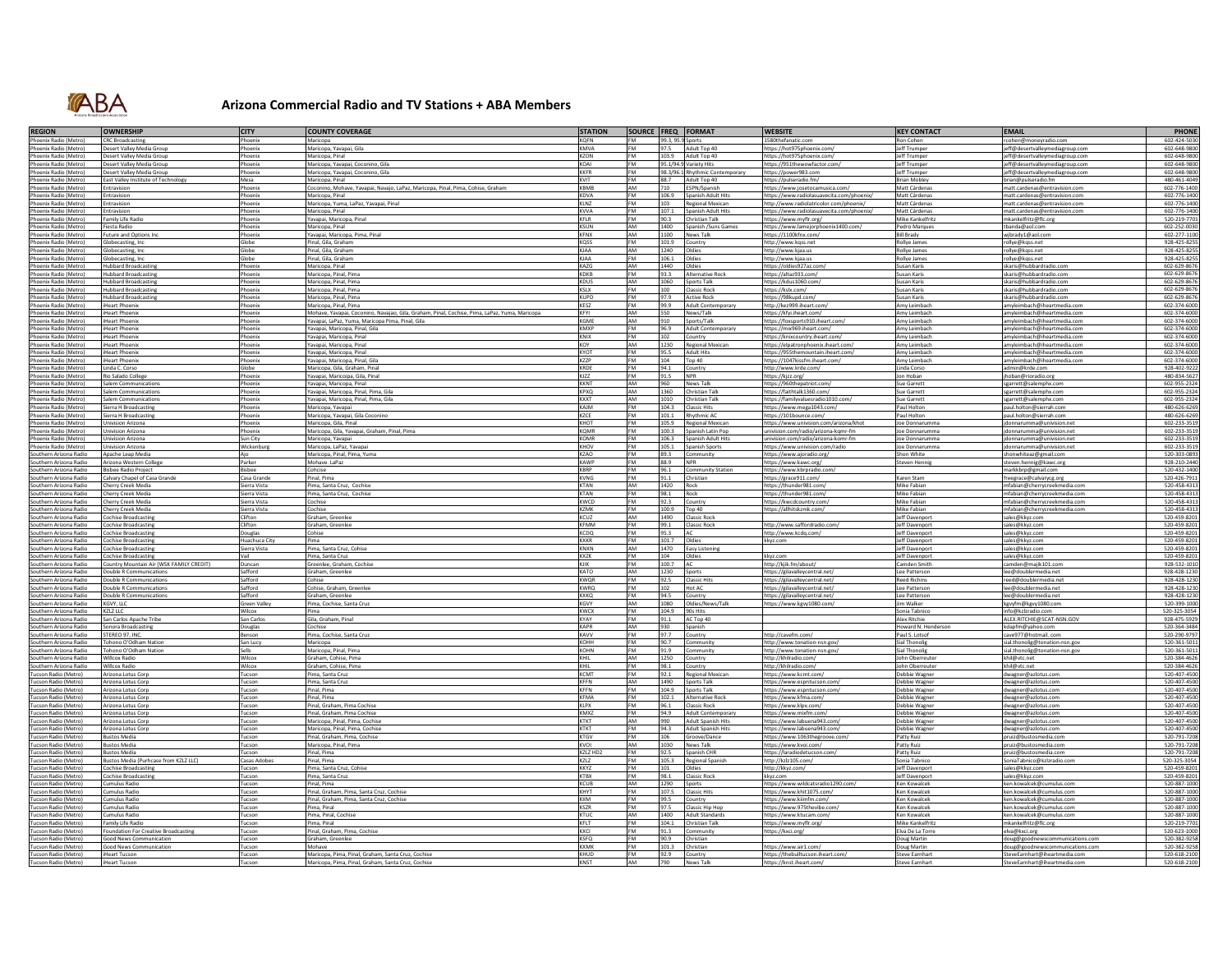

## **Arizona Commercial Radio and TV Stations + ABA Members**

| <b>REGION</b>                                    | <b>OWNERSHIP</b>                                   | <b>CITY</b>        | <b>COUNTY COVERAGE</b>                                                                             | <b>STATION</b>             | SOURCE FREQ            |                   | <b>FORMAT</b>                    | <b>WEBSITE</b>                                                      | <b>KEY CONTACT</b>                   | <b>EMAIL</b>                                                   | <b>PHONE</b>                 |
|--------------------------------------------------|----------------------------------------------------|--------------------|----------------------------------------------------------------------------------------------------|----------------------------|------------------------|-------------------|----------------------------------|---------------------------------------------------------------------|--------------------------------------|----------------------------------------------------------------|------------------------------|
| Phoenix Radio (Metro)                            | <b>RC Broadcasting</b>                             | Phoenix            | Maricopa                                                                                           | <b>KQFN</b>                | FM                     | 99.3, 95.9 Sports |                                  | 1580thefanatic.com                                                  | Ron Cohen                            | cohen@moneyradio.com                                           | 602-424-503                  |
| Phoenix Radio (Metro)                            | Desert Valley Media Group                          | Phoenix            | Maricopa, Yavapai, Gila                                                                            | KMVA                       | <b>FM</b>              |                   | Adult Top 40                     | https://hot975phoenix.com/                                          | Jeff Trumper                         | jeff@desertvalleymediagroup.com                                | 602-648-9800                 |
| Phoenix Radio (Metro)                            | Desert Valley Media Group                          | Phoenix            | Maricopa, Pinal                                                                                    | <b>KZON</b>                | FM                     | 103.9             | Adult Top 40                     | https://hot975phoenix.com/                                          | Jeff Trumper                         | jeff@desertvalleymediagroup.com                                | 602-648-9800                 |
| Phoenix Radio (Metro)                            | Desert Valley Media Group                          | Phoenix            | Maricopa, Yavapai, Coconino, Gila                                                                  | KOAI                       | <b>FM</b>              |                   | 95.1/94.9 Variety Hits           | https://951thewowfactor.com/                                        | Jeff Trumper                         | jeff@desertvalleymediagroup.com                                | 602-648-9800                 |
| Phoenix Radio (Metro)                            | Desert Valley Media Group                          | Phoenix            | Maricopa, Yavapai, Coconino, Gila                                                                  | <b>KKFR</b>                | <b>FM</b><br><b>FM</b> |                   | 98.3/96.1 Rhythmic Contemporary  | https://power983.com                                                | Jeff Trumper                         | jeff@desertvalleymediagroup.com                                | 602-648-9800                 |
| Phoenix Radio (Metro)<br>Phoenix Radio (Metro    | East Valley Institute of Technology<br>intravision | Mesa<br>Phoenix    | Maricopa, Pinal<br>loconino, Mohave, Yavapai, Navajo, LaPaz, Maricopa, Pinal, Pima, Cohise, Graham | KVIT<br><b>KBMB</b>        | AM                     | 88.7<br>710       | Adult Top 40<br>ESPN/Spanish     | https://pulseradio.fm/<br>https://www.josetocamusica.com/           | <b>Brian Mobley</b><br>Matt Cárdenas | brian@pulseradio.fm<br>matt.cardenas@entravision.com           | 480-461-4049<br>602-776-1400 |
| Phoenix Radio (Metro)                            | intravision                                        | Phoenix            | Maricopa, Pinal                                                                                    | <b>KDVA</b>                | <b>FM</b>              | 106.9             | Spanish Adult Hits               | https://www.radiolasuavecita.com/phoenix,                           | Matt Cárdenas                        |                                                                | 602-776-1400                 |
| Phoenix Radio (Metro)                            | Entravision                                        | Phoenix            | Maricopa, Yuma, LaPaz, Yavapai, Pinal                                                              | <b>KLNZ</b>                | <b>FM</b>              | 103               | <b>Regional Mexican</b>          | http://www.radiolatricolor.com/phoenix/                             | Matt Cárdenas                        | matt.cardenas@entravision.com<br>matt.cardenas@entravision.com | 602-776-1400                 |
| Phoenix Radio (Metro)                            | Entravision                                        | Phoenix            | Maricopa, Pinal                                                                                    | <b>KVVA</b>                | <b>FM</b>              | 107.1             | Spanish Adult Hits               | https://www.radiolasuavecita.com/phoenix/                           | Matt Cárdenas                        | matt.cardenas@entravision.com                                  | 602-776-1400                 |
| Phoenix Radio (Metro)                            | amily Life Radio                                   | Phoenix            | Yavapai, Maricopa, Pinal                                                                           | <b>KFIR</b>                | <b>FM</b>              | 90.3              | Christian Talk                   | https://www.myfir.org/                                              | Mike Kankelfritz                     | mkankelfritz@flc.org                                           | 520-219-7701                 |
| Phoenix Radio (Metro)                            | Fiesta Radio                                       | Phoenix            | Maricopa, Pinal                                                                                    | <b>KSUN</b>                | AM                     | 1400              | Spanish /Suns Games              | https://www.lamejorphoenix1400.com/                                 | Pedro Marques                        | tbanda@aol.com                                                 | 602-252-0030                 |
| Phoenix Radio (Metro)                            | uture and Options Ind                              | Phoenix            | Yavapai, Maricopa, Pima, Pinal                                                                     | <b>KFNX</b>                | AM                     | 1100              | News Talk                        | https://1100kfnx.com/                                               | <b>Bill Brady</b>                    | wjbrady1@aol.con                                               | 602-277-1100                 |
| Phoenix Radio (Metro)                            | Globecasting, Inc                                  | Globe              | Pinal, Gila, Graham                                                                                | <b>KOSS</b>                | <b>FM</b>              | 101.9             | Country                          | http://www.kqss.net                                                 | Rollve James                         | rollve@kass.net                                                | 928-425-8255                 |
| Phoenix Radio (Metro)                            | Globecasting, Inc.                                 | Globe              | Pinal, Gila, Graham                                                                                | KJAA                       | AM                     | 1240 Oldies       |                                  | http://www.kiaa.us                                                  | Rollve James                         | rollye@kqss.net                                                | 928-425-8255                 |
| Phoenix Radio (Metro)                            | Slobecasting, Inc.                                 | Globe              | Pinal, Gila, Graham                                                                                | <b>KJAA</b>                | <b>FM</b>              | 106.1             | Oldies                           | http://www.kjaa.us                                                  | Rollye James                         | rollye@kqss.net                                                | 928-425-825                  |
| Phoenix Radio (Metro)                            | <b>Iubbard Broadcasting</b>                        | Phoenix            | Maricopa, Pinal                                                                                    | KAZG                       | <b>AM</b>              | 1440              | Oldies                           | https://oldies927az.com/                                            | Susan Karis                          | skaris@hubbardradio.com                                        | 602-629-8676                 |
| Phoenix Radio (Metro                             | lubbard Broadcasting                               | Phoenix            | Maricopa, Pinal, Pima                                                                              | <b>KDKB</b>                | <b>FM</b>              | 93.3              | <b>Alternative Rock</b>          | https://altaz933.com,                                               | Susan Karis                          | skaris@hubbardradio.con                                        | 602-629-867                  |
| Phoenix Radio (Metro)                            | <b>Hubbard Broadcasting</b>                        | Phoenix            | Maricopa, Pinal, Pima                                                                              | <b>KDUS</b>                | AM                     | 1060              | Sports Talk                      | https://kdus1060.com/                                               | Susan Karis                          | skaris@hubbardradio.com                                        | 602-629-8676                 |
| Phoenix Radio (Metro)                            | lubbard Broadcasting                               | Phoenix            | Maricopa, Pinal, Pima                                                                              | <b>KSLX</b>                | <b>FM</b>              | 100               | <b>Classic Rock</b>              | https://kslx.com/                                                   | Susan Karis                          | skaris@hubbardradio.com                                        | 602-629-8676                 |
| Phoenix Radio (Metro)                            | Hubbard Broadcastin                                | Phoenix            | Maricopa, Pinal, Pima                                                                              | <b>KUPD</b>                | <b>FM</b>              | 97.9              | <b>Active Rock</b>               | https://98kupd.com/                                                 | Susan Karis                          | skaris@hubbardradio.com                                        | 602-629-8676                 |
| Phoenix Radio (Metro)                            | <b>Heart Phoenix</b>                               | Phoenix            | Maricopa, Pinal, Pima                                                                              | <b>KESZ</b>                | <b>FM</b>              | 99.9              | Adult Contemporary               | http://kez999.iheart.com/                                           | Amy Leimbach                         | amyleimbach@iheartmedia.com                                    | 602-374-6000                 |
| Phoenix Radio (Metro)                            | <b>iHeart Phoenix</b>                              | Phoenix            | Mohave, Yavapai, Coconino, Navajao, Gila, Graham, Pinal, Cochise, Pima, LaPaz, Yuma, Maricopa      | KFYI                       | AM                     | 550               | News/Talk                        | https://kfyi.iheart.com/                                            | Amy Leimbach                         | amyleimbach@iheartmedia.com                                    | 602-374-600                  |
| Phoenix Radio (Metro)                            | <b>iHeart Phoenix</b>                              | Phoenix            | Yavapai, LaPaz, Yuma, Maricopa Pima, Pinal, Gila                                                   | KGME                       | AM                     | 910               | Sports/Talk                      | https://foxsports910.iheart.com/                                    | Amy Leimbach                         | amyleimbach@iheartmedia.com                                    | 602-374-600                  |
| hoenix Radio (Metro)                             | <b>Heart Phoenix</b>                               | hoenix             | Yavapai, Maricopa, Pinal, Gila                                                                     | <b>KMXP</b>                | <b>FM</b>              | 96.9              | Adult Contemporary               | https://mix969.iheart.com/                                          | Amy Leimbach                         | amyleimbach@iheartmedia.com                                    | 602-374-6000                 |
| Phoenix Radio (Metro)                            | iHeart Phoenix                                     | Phoenix            | Yavapai, Maricopa, Pinal                                                                           | KNIX                       | <b>FM</b>              | 102               | Country                          | https://knixcountry.iheart.com/                                     | Amy Leimbach                         | amyleimbach@iheartmedia.com                                    | 602-374-6000<br>602-374-6000 |
| hoenix Radio (Metro)                             | <b>Heart Phoenix</b>                               | hoenix             | Yayapai, Maricopa, Pinal                                                                           | KOY                        | AM<br><b>FM</b>        | 1230              | <b>Regional Mexican</b>          | https://elpatronphoenix.iheart.com/                                 | Amy Leimbach                         | myleimbach@iheartmedia.com                                     |                              |
| Phoenix Radio (Metro)                            | <b>iHeart Phoenix</b><br>iHeart Phoenix            | Phoenix<br>Phoenix | Yavapai, Maricopa, Pinal<br>Yavapai, Maricopa, Pinal, Gila                                         | KYOT<br><b>KZZP</b>        | <b>FM</b>              | 95.5<br>104       | <b>Adult Hits</b><br>Top 40      | https://955themountain.iheart.com<br>https://1047kissfm.iheart.com/ | Amy Leimbach<br>Amy Leimbach         | amyleimbach@iheartmedia.com<br>amyleimbach@iheartmedia.com     | 602-374-6000<br>602-374-6000 |
| Phoenix Radio (Metro)                            | Linda C. Corso                                     | Globe              |                                                                                                    | KRDE                       | <b>FM</b>              | 94.1              |                                  | http://www.krde.com/                                                | Linda Corso                          |                                                                | 928-402-9222                 |
| Phoenix Radio (Metro)                            | Rio Salado College                                 | Phoenix            | Maricopa, Gila, Graham, Pinal<br>Yavapai, Maricoipa, Gila, Pinal                                   | KJZZ                       | <b>FM</b>              | 91.5              | Country<br><b>NPR</b>            | https://kjzz.org/                                                   | Jon Hoban                            | admin@krde.com<br>jhoban@rioradio.org                          | 480-834-5627                 |
| Phoenix Radio (Metro)<br>Phoenix Radio (Metro)   | salem Communications                               | Phoenix            |                                                                                                    | <b>KKNT</b>                | AM                     | 960               | News Talk                        | https://960thepatriot.com/                                          | Sue Garrett                          |                                                                | 602-955-2324                 |
| Phoenix Radio (Metro)                            | <b>Salem Communications</b>                        | Phoenix            | Yavapai, Maricopa, Pinal<br>Yavapai, Maricopa, Pinal, Pima, Gila                                   | <b>KPXQ</b>                | <b>AM</b>              | 1360              | Christian Talk                   | https://faithtalk1360.com/                                          | Sue Garrett                          | sgarrett@salemphx.com<br>sgarrett@salemphx.com                 | 602-955-2324                 |
| Phoenix Radio (Metro)                            | Salem Communication:                               | Phoenix            | Yavapai, Maricopa, Pinal, Pima, Gila                                                               | <b>KXXT</b>                | AM                     | 1010              | Christian Talk                   | https://familyvaluesradio1010.com,                                  | Sue Garrett                          | sgarrett@salemphx.com                                          | 602-955-2324                 |
| Phoenix Radio (Metro)                            | Sierra H Broadcasting                              | Phoenix            | Maricopa, Yavapai                                                                                  | KAJM                       | FM                     | 104.3             | <b>Classic Hits</b>              | https://www.mega1043.com/                                           | Paul Holton                          | paul.holton@sierrah.com                                        | 480-626-6269                 |
| Phoenix Radio (Metro)                            | Sierra H Broadcasting                              | hoenix             | Maricopa, Yavapai, Gila Coconino                                                                   | <b>KZCE</b>                |                        | 101.1             | <b>Rhythmic AC</b>               | https://101bounce.com/                                              | Paul Holton                          | paul.holton@sierrah.com                                        | 480-626-6269                 |
| Phoenix Radio (Metro)                            | Inivision Arizona                                  | Phoenix            | Maricopa, Gila, Pinal                                                                              | KHOT                       | <b>FM</b>              | 105.9             | Regional Mexican                 | https://www.univision.com/arizona/khot                              | Joe Donnarumma                       | idonnarumma@univision.net                                      | 602-233-3519                 |
| Phoenix Radio (Metro)                            | Inivision Arizona                                  | Phoenix            | Maricopa, Gila, Yavapai, Graham, Pinal, Pima                                                       | <b>KOMR</b>                | <b>FM</b>              | 100.3             | Spanish Latin Pop                | univision.com/radio/arizona-kqmr-fm                                 | Joe Donnarumma                       | jdonnarumma@univision.net                                      | 602-233-3519                 |
| Phoenix Radio (Metro)                            | Inivision Arizona                                  | Sun City           | Maricopa, Yavapai                                                                                  | <b>KOMR</b>                | <b>FM</b>              | 106.3             | Spanish Adult Hits               | univision.com/radio/arizona-komr-fm                                 | Joe Donnarumma                       | donnarumma@univision.net                                       | 602-233-3519                 |
| Phoenix Radio (Metro                             | nivision Arizona                                   | Wickenburg         | Maricopa, LaPaz, Yavapai                                                                           | KHOV                       | <b>FM</b>              | 105.1             | Spanish Sports                   | https://www.univision.com/radi                                      | Joe Donnarumma                       | donnarumma@univision.ne                                        | 602-233-3519                 |
| Southern Arizona Radio                           | Apache Leap Media                                  | Ajo                | Maricopa, Pinal, Pima, Yuma                                                                        | KZAO                       | <b>FM</b>              | 89.3              | Community                        | https://www.ajoradio.org/                                           | Shon White                           | shonwhiteaz@gmail.com                                          | 520-303-0893                 |
| Southern Arizona Radio                           | Arizona Western Colleg                             | Parker             | Mohave. LaPaz                                                                                      | <b>KAWP</b>                | <b>FM</b>              | 88.9              | <b>NPR</b>                       | https://www.kawc.org/                                               | Steven Hennig                        | steven.hennig@kawc.org                                         | 928-210-2440                 |
| Southern Arizona Radio                           | <b>Bisbee Radio Project</b>                        | Bisbee             | Cohcise                                                                                            | <b>KBRP</b>                | <b>FM</b>              | 96.1              | <b>Community Station</b>         | https://www.kbrpradio.com/                                          |                                      | markkbrp@gmail.com                                             | 520-432-1400                 |
| Southern Arizona Radio                           | Calvary Chapel of Casa Grande                      | Casa Grande        | Pinal, Pima                                                                                        | <b>KVNG</b>                | <b>FM</b>              | 91.1              | Christian                        | https://grace911.com/                                               | Karen Stam                           | freegrace@calvarycg.org                                        | 520-426-7911                 |
| Southern Arizona Radio                           | <b>Cherry Creek Media</b>                          | Sierra Vista       | Pima, Santa Cruz, Cochise                                                                          | <b>KTAN</b>                | <b>AM</b>              | 1420              | Rock                             | https://thunder981.com/                                             | Mike Fabian                          | mfabian@cherrycreekmedia.com                                   | 520-458-4313                 |
| Southern Arizona Radio                           | Cherry Creek Media                                 | Sierra Vista       | Pima, Santa Cruz, Cochise                                                                          | <b>KTAN</b>                | FM                     | 98.1              | Rock                             | https://thunder981.com/                                             | Mike Fabian                          | mfabian@cherrycreekmedia.com                                   | 520-458-4313                 |
| Southern Arizona Radio                           | herry Creek Media                                  | ierra Vista        | Cochise                                                                                            | KWCD                       | <b>FM</b>              | 92.3              | Country                          | https://kwcdcountry.com                                             | Mike Fabian                          | nfabian@cherrycreekmedia.com                                   | 520-458-4313                 |
| Southern Arizona Radio                           | herry Creek Media                                  | Sierra Vista       | Cochise                                                                                            | <b>KZMK</b>                | <b>FM</b>              | 100.9             | Top 40                           | https://allhitskzmk.com/                                            | Mike Fabian                          | mfabian@cherrycreekmedia.com                                   | 520-458-4313                 |
| Southern Arizona Radio                           | ochise Broadcasting                                | Clifton            | Graham, Greenlee                                                                                   | KCUZ                       | <b>AM</b>              | 1490              | <b>Classic Rock</b>              |                                                                     | Jeff Davenport                       | sales@kkyz.com                                                 | 520-459-8201                 |
| Southern Arizona Radio                           | ochise Broadcasting                                | Clifton            | Graham, Greenlee                                                                                   | KFMM                       | <b>FM</b>              | 99.1              | <b>Classic Rock</b>              | http://www.saffordradio.com                                         | Jeff Davenport                       | sales@kkyz.com                                                 | 520-459-820                  |
| Southern Arizona Radio                           | <b>Cochise Broadcasting</b>                        | Douglas            | Cohise                                                                                             | <b>KCDQ</b>                | <b>FM</b>              | 95.3              | AC                               | http://www.kcdq.com/                                                | Jeff Davenport                       | sales@kkyz.con                                                 | 520-459-820                  |
| Southern Arizona Radio                           | ochise Broadcasting                                | luachuca City      | Pima                                                                                               | <b>KXKR</b>                | FM                     | 101.7             | Oldies                           | kkyz.com                                                            | Jeff Davenport                       | sales@kkyz.com                                                 | 520-459-820                  |
| Southern Arizona Radio                           | <b>Cochise Broadcasting</b>                        | Sierra Vista       | Pima, Santa Cruz, Cohise                                                                           | KNXN                       | AM                     |                   | 1470 Easy Listenin               |                                                                     | Jeff Davenport                       | sales@kkyz.com                                                 | 520-459-8201                 |
| outhern Arizona Radio                            | ochise Broadcasting                                | Vail               | Pima, Santa Cruz                                                                                   | <b>KXZK</b>                | <b>FM</b>              | 104               | Oldies                           | kkyz.com                                                            | Jeff Davenport                       | sales@kkvz.com                                                 | 520-459-8201                 |
| Southern Arizona Radio                           | ountry Mountain Air (WSK FAMILY CREDIT)            | Duncan             | Greenlee, Graham, Cochise                                                                          | KIIK                       | <b>FM</b><br>AM        | 100.7             |                                  | http://kjik.fm/about/                                               | Camden Smith                         | :amden@majik101.com                                            | 928-532-101                  |
| Southern Arizona Radio                           | Jouble R Communication<br>ouble R Communications   | Safford<br>Safford | Graham, Greenlee                                                                                   | <b>KATO</b><br><b>KWOR</b> | <b>FM</b>              | 1230<br>92.5      | Sports                           | https://gilavalleycentral.net/                                      | Lee Patterson<br><b>Reed Richins</b> | ee@doublermedia.net<br>reed@doublermedia.net                   | 928-428-1230<br>928-428-1230 |
| Southern Arizona Radio                           |                                                    | Safford            | Cohise<br>Cohise, Graham, Greenlee                                                                 | <b>KWRQ</b>                | <b>FM</b>              | 102               | <b>Classic Hits</b><br>Hot AC    | https://gilavalleycentral.net/                                      | Lee Patterson                        |                                                                | 928-428-1230                 |
| Southern Arizona Radio<br>Southern Arizona Radio | Jouble R Communication<br>Jouble R Communications  | Safford            | Graham, Greenlee                                                                                   | <b>KXKO</b>                | <b>FM</b>              | 94.5              |                                  | https://gilavalleycentral.net/                                      | Lee Patterson                        | lee@doublermedia.net<br>lee@doublermedia.net                   | 928-428-1230                 |
| Southern Arizona Radio                           | KGVY, LLC                                          | Green Valley       | Pima, Cochise, Santa Cruz                                                                          | KGVY                       | <b>AM</b>              |                   | Country<br>1080 Oldies/News/Talk | https://gilavalleycentral.net/<br>https://www.kgvy1080.com/         | Jim Walker                           | kgvyfm@kgvy1080.com                                            | 520-399-1000                 |
| outhern Arizona Radio                            | K71711C                                            | Wilcox             | Pima                                                                                               | <b>KWCX</b>                | <b>FM</b>              | 104.9             | 90s Hits                         |                                                                     | Sonia Tabnico                        | nfo@kzlzradio.com                                              | 520-325-3054                 |
| Southern Arizona Radio                           | San Carlos Apache Tribe                            | San Carlos         | Gila, Graham, Pinal                                                                                | <b>KYAY</b>                | <b>FM</b>              | 91.1              | AC Top 40                        |                                                                     | <b>Alex Ritchie</b>                  | ALEX.RITCHIE@SCAT-NSN.GOV                                      | 928-475-5929                 |
| Southern Arizona Radio                           | Sonora Broadcasting                                | Douglas            | ochise                                                                                             | <b>KAPR</b>                | AM                     | 930               | Spanish                          |                                                                     | Howard N. Henderso                   | kdapfm@yahoo.com                                               | 520-364-348                  |
| Southern Arizona Radio                           | STEREO 97, INC                                     | Benson             | Pima, Cochise, Santa Cruz                                                                          | KAVV                       | <b>FM</b>              | 97.7              | Country                          | http://cavefm.com/                                                  | Paul S. Lotsof                       | cave977@hotmail.com                                            | 520-290-9797                 |
| Southern Arizona Radio                           | Tohono O'Odham Nation                              | San Lucy           | Maricopa                                                                                           | конн                       | <b>FM</b>              | 90.7              | Community                        | http://www.tonation-nsn.gov/                                        | Sial Thonolig                        | sial.thonolig@tonation-nsn.gov                                 | 520-361-5011                 |
| Southern Arizona Radio                           | Tohono O'Odham Nation                              | Sells              | Maricopa, Pinal, Pima                                                                              | KOHN                       | <b>FM</b>              | 91.9              | Community                        | http://www.tonation-nsn.gov/                                        | Sial Thonolig                        | sial.thonolig@tonation-nsn.gov                                 | 520-361-5011                 |
| Southern Arizona Radin                           | <b>Willcox Radio</b>                               | Wilcox             | Graham, Cohise, Pima                                                                               | KHIL                       | <b>AM</b>              | 1250              | Country                          | http://khilradio.com/                                               | John Oberreute                       | khil@vtc.net                                                   | 520-384-4626                 |
| Southern Arizona Radio                           | <b>Willcox Radio</b>                               | Wilcox             | Graham, Cohise, Pima                                                                               | KHIL                       | <b>FM</b>              | 98.1              | Country                          | http://khilradio.com,                                               | John Oberreuter                      | khil@vtc.net                                                   | 520-384-4626                 |
| Tucson Radio (Metro)                             | Arizona Lotus Corp                                 | Tucson             | Pima, Santa Cruz                                                                                   | <b>KCMT</b>                | <b>FM</b>              | 92.1              | <b>Regional Mexican</b>          | https://www.kcmt.com                                                | Debbie Wagne                         | dwagner@azlotus.com                                            | 520-407-4500                 |
| Tucson Radio (Metro)                             | Arizona Lotus Corp                                 | Tucson             | Pima, Santa Cruz                                                                                   | <b>KFFN</b>                | <b>AM</b>              | 1490              | Sports Talk                      | https://www.espntucson.com/                                         | Debbie Wagner                        | dwagner@azlotus.com                                            | 520-407-4500                 |
| Tucson Radio (Metro)                             | Arizona Lotus Corp                                 | Tucson             | Pinal, Pima                                                                                        | <b>KFFN</b>                | <b>FM</b>              | 104.9             | Sports Talk                      | https://www.espntucson.com/                                         | Debbie Wagner                        | dwagner@azlotus.com                                            | 520-407-4500                 |
| Tucson Radio (Metro)                             | Arizona Lotus Corp                                 | Tucson             | Pinal, Pima                                                                                        | <b>KFMA</b>                | <b>FM</b>              | 102.1             | <b>Alternative Rock</b>          | https://www.kfma.com/                                               | Debbie Wagner                        | dwagner@azlotus.com                                            | 520-407-4500                 |
| Tucson Radio (Metro)                             | Arizona Lotus Corp                                 | Tucson             | Pinal, Graham, Pima Cochise                                                                        | <b>KLPX</b>                | <b>FM</b>              | 96.1              | <b>Classic Rock</b>              | https://www.klpx.com/                                               | <b>Debbie Wagner</b>                 | dwagner@azlotus.com                                            | 520-407-4500                 |
| Tucson Radio (Metro)                             | <b>Irizona Lotus Corp</b>                          | Tucson             | <sup>2</sup> inal, Graham, Pima Cochise                                                            | KMXZ                       | FM                     | 94.9              | <b>Adult Contemporary</b>        | https://www.mixfm.com,                                              | Debbie Wagner                        | dwagner@azlotus.com                                            | 520-407-4500                 |
| Tucson Radio (Metro)                             | Arizona Lotus Corp                                 | Tucson             | Maricopa, Pinal, Pima, Cochise                                                                     | <b>KTKT</b>                | <b>AM</b>              | 990               | <b>Adult Spanish Hits</b>        | https://www.labuena943.com                                          | Debbie Wagner                        | dwagner@azlotus.com                                            | 520-407-4500                 |
| Tucson Radio (Metro)                             | Arizona Lotus Corp                                 | Tucson             | Maricopa, Pinal, Pima, Cochise                                                                     | <b>KTKT</b>                | <b>FM</b>              | 94.3              | <b>Adult Spanish Hits</b>        | https://www.labuena943.com,                                         | Debbie Wagner                        | dwagner@azlotus.com                                            | 520-407-4500                 |
| Tucson Radio (Metro)                             | <b>Bustos Media</b>                                | Tucson             | Pinal, Graham, Pima, Cochise                                                                       | KTGV                       | <b>FM</b>              | 106               | Groove/Dance                     | https://www.1063thegroove.com/                                      | Patty Ruiz                           | pruiz@bustosmedia.com                                          | 520-791-7208                 |
| Tucson Radio (Metro)                             | <b>Bustos Media</b>                                | Tucson             | Maricopa, Pinal, Pima                                                                              | KVOI                       | <b>AM</b>              | 1030              | News Talk                        | https://www.kvoi.com/                                               | Patty Ruiz                           | pruiz@bustosmedia.com                                          | 520-791-7208                 |
| Tucson Radio (Metro)                             | <b>Bustos Media</b>                                | Tucson             | Pinal, Pima                                                                                        | KZLZ HD2                   | <b>FM</b>              | 92.5              | Spanish CHR                      | https://laradiodetucson.com                                         | Patty Ruiz                           | pruiz@bustosmedia.com                                          | 520-791-7208                 |
| Tucson Radio (Metro)                             | Bustos Media (Purhcase from KZLZ LLC)              | Casas Adobes       | Pinal, Pima                                                                                        | KZLZ                       | FM                     | 105.3             | <b>Regional Spanis</b>           | http://kzlz105.com/                                                 | Sonia Tabnico                        | SoniaTabnico@kzlzradio.con                                     | 520-325-3054<br>520-459-8201 |
| Tucson Radio (Metro)                             | <b>Cochise Broadcasting</b>                        | Tucson             | Pima, Santa Cruz, Cohise                                                                           | <b>KKYZ</b>                | <b>FM</b><br><b>FM</b> | 101               | Oldies                           | http://kkyz.com/                                                    | Jeff Davenport                       | ales@kkyz.com                                                  |                              |
| Tucson Radio (Metro)                             | Cochise Broadcasting<br>umulus Radio               | Tucson             | Pima, Santa Cru<br>Pinal, Pima                                                                     | <b>KTBX</b>                | AM                     | 98.1              | <b>Classic Rock</b>              | kkyz.com                                                            | Jeff Davenport<br>Ken Kowalcek       | sales@kkyz.com                                                 | 520-459-8201<br>520-887-1000 |
| Tucson Radio (Metro)<br>Tucson Radio (Metro)     | umulus Radio                                       | Tucson<br>Tucson   | Pinal, Graham, Pima, Santa Cruz, Cochise                                                           | <b>KCUB</b><br>KHYT        | <b>FM</b>              | 1290<br>107.5     | Sports<br><b>Classic Hits</b>    | https://www.wildcatsradio1290.com/<br>https://www.khit1075.com/     | Ken Kowalcek                         | ken.kowalcek@cumulus.com<br>ken.kowalcek@cumulus.com           | 520-887-1000                 |
| Tucson Radio (Metro)                             | umulus Radio                                       | Tucson             | Pinal, Graham, Pima, Santa Cruz, Cochise                                                           | KIIM                       | FM                     | 99.5              | Country                          | https://www.kiimfm.com/                                             | Ken Kowalcek                         |                                                                | 520-887-1000                 |
| Tucson Radio (Metro)                             | mulus Radio                                        | Tucson             | Pima, Pinal                                                                                        | <b>KSZR</b>                | <b>FM</b>              | 97.5              | Classic Hip Hop                  | https://www.975thevibe.com/                                         | Ken Kowalcek                         | ken.kowalcek@cumulus.com<br>ken.kowalcek@cumulus.com           | 520-887-1000                 |
| Tucson Radio (Metro)                             | umulus Radio                                       | Tucson             | Pima, Pinal, Cochis                                                                                | <b>KTUC</b>                | <b>AM</b>              | 1400              | <b>Adult Standards</b>           | https://www.ktucam.com/                                             | Ken Kowalcek                         | ken.kowalcek@cumulus.com                                       | 520-887-1000                 |
| Tucson Radio (Metro)                             | amily Life Radio                                   | Tucson             | Pima, Pinal                                                                                        | KFLT                       | <b>FM</b>              | 104.1             | Christian Talk                   | https://www.myfir.org/                                              | Mike Kankelfritz                     | mkankelfritz@flc.org                                           | 520-219-7701                 |
| Tucson Radio (Metro)                             | bundation For Creative Broadcasting                | Tucsor             | Pinal, Graham, Pima, Cochise                                                                       | KXCL                       | <b>FM</b>              | 91.3              | Community                        | https://kxci.org                                                    | Elva De La Torre                     | elva@kxci.org                                                  | 520-623-1000                 |
| Tucson Radio (Metro)                             | <b>Good News Communication</b>                     | Tucson             | Graham, Greenlee                                                                                   | <b>KSFQ</b>                | FM                     | 90.9              | Christian                        |                                                                     | Doug Martin                          | doug@goodnewscommunications.com                                | 520-382-9258                 |
| Tucson Radio (Metro)                             | iood News Communication                            | Tucson             | Mohave                                                                                             | <b>KXMK</b>                | <b>FM</b>              | 101.3             | Christian                        | https://www.air1.com/                                               | Doug Martin                          | loug@goodnewscommunications.com                                | 520-382-9258                 |
| Tucson Radio (Metro)                             | iHeart Tucson                                      | Tucson             | Maricopa, Pima, Pinal, Graham, Santa Cruz, Cochise                                                 | KHUD                       | <b>FM</b>              | 92.9              | Country                          | https://thebulltucson.iheart.com/                                   | Steve Earnhan                        | SteveEarnhart@iheartmedia.com                                  | 520-618-2100                 |
| Tucson Radio (Metro)                             | iHeart Tucson                                      | Tucson             | Maricopa, Pima, Pinal, Graham, Santa Cruz, Cochis                                                  | <b>KNST</b>                | <b>AM</b>              | 790               | News Talk                        | https://knst.iheart.com/                                            | <b>Steve Earnhart</b>                | SteveFarnhart@iheartmedia.com                                  | 520-618-2100                 |